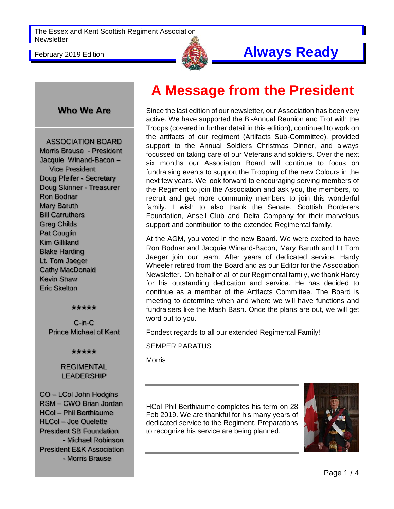

## February 2019 Edition **Always Ready**

#### **Who We Are**

ASSOCIATION BOARD Morris Brause - President Jacquie Winand-Bacon – Vice President Doug Pfeifer - Secretary Doug Skinner - Treasurer Ron Bodnar Mary Baruth Bill Carruthers Greg Childs Pat Couglin Kim Gilliland Blake Harding Lt. Tom Jaeger Cathy MacDonald Kevin Shaw Eric Skelton

#### \*\*\*\*\*

C-in-C Prince Michael of Kent

\*\*\*\*\*

#### REGIMENTAL LEADERSHIP

CO – LCol John Hodgins RSM – CWO Brian Jordan HCol – Phil Berthiaume HLCol – Joe Ouelette President SB Foundation - Michael Robinson President E&K Association - Morris Brause

## **A Message from the President**

Since the last edition of our newsletter, our Association has been very active. We have supported the Bi-Annual Reunion and Trot with the Troops (covered in further detail in this edition), continued to work on the artifacts of our regiment (Artifacts Sub-Committee), provided support to the Annual Soldiers Christmas Dinner, and always focussed on taking care of our Veterans and soldiers. Over the next six months our Association Board will continue to focus on fundraising events to support the Trooping of the new Colours in the next few years. We look forward to encouraging serving members of the Regiment to join the Association and ask you, the members, to recruit and get more community members to join this wonderful family. I wish to also thank the Senate, Scottish Borderers Foundation, Ansell Club and Delta Company for their marvelous support and contribution to the extended Regimental family.

At the AGM, you voted in the new Board. We were excited to have Ron Bodnar and Jacquie Winand-Bacon, Mary Baruth and Lt Tom Jaeger join our team. After years of dedicated service, Hardy Wheeler retired from the Board and as our Editor for the Association Newsletter. On behalf of all of our Regimental family, we thank Hardy for his outstanding dedication and service. He has decided to continue as a member of the Artifacts Committee. The Board is meeting to determine when and where we will have functions and fundraisers like the Mash Bash. Once the plans are out, we will get word out to you.

Fondest regards to all our extended Regimental Family!

SEMPER PARATUS

Morris

HCol Phil Berthiaume completes his term on 28 Feb 2019. We are thankful for his many years of dedicated service to the Regiment. Preparations to recognize his service are being planned.

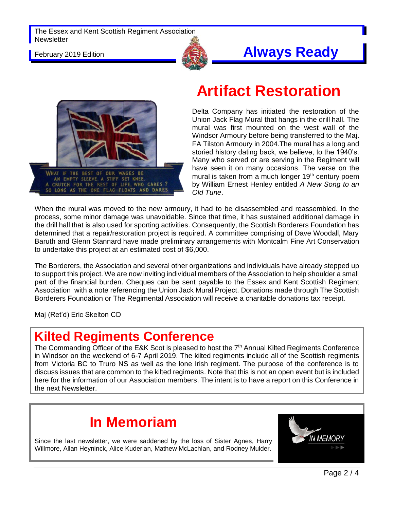

#### February 2019 Edition **Always Ready**



# **Artifact Restoration**

Delta Company has initiated the restoration of the Union Jack Flag Mural that hangs in the drill hall. The mural was first mounted on the west wall of the Windsor Armoury before being transferred to the Maj. FA Tilston Armoury in 2004.The mural has a long and storied history dating back, we believe, to the 1940's. Many who served or are serving in the Regiment will have seen it on many occasions. The verse on the mural is taken from a much longer  $19<sup>th</sup>$  century poem by William Ernest Henley entitled *A New Song to an Old Tune*.

When the mural was moved to the new armoury, it had to be disassembled and reassembled. In the process, some minor damage was unavoidable. Since that time, it has sustained additional damage in the drill hall that is also used for sporting activities. Consequently, the Scottish Borderers Foundation has determined that a repair/restoration project is required. A committee comprising of Dave Woodall, Mary Baruth and Glenn Stannard have made preliminary arrangements with Montcalm Fine Art Conservation to undertake this project at an estimated cost of \$6,000.

The Borderers, the Association and several other organizations and individuals have already stepped up to support this project. We are now inviting individual members of the Association to help shoulder a small part of the financial burden. Cheques can be sent payable to the Essex and Kent Scottish Regiment Association with a note referencing the Union Jack Mural Project. Donations made through The Scottish Borderers Foundation or The Regimental Association will receive a charitable donations tax receipt.

Maj (Ret'd) Eric Skelton CD

#### **Kilted Regiments Conference**

The Commanding Officer of the E&K Scot is pleased to host the 7<sup>th</sup> Annual Kilted Regiments Conference in Windsor on the weekend of 6-7 April 2019. The kilted regiments include all of the Scottish regiments from Victoria BC to Truro NS as well as the lone Irish regiment. The purpose of the conference is to discuss issues that are common to the kilted regiments. Note that this is not an open event but is included here for the information of our Association members. The intent is to have a report on this Conference in the next Newsletter.

## **In Memoriam**

Since the last newsletter, we were saddened by the loss of Sister Agnes, Harry Willmore, Allan Heyninck, Alice Kuderian, Mathew McLachlan, and Rodney Mulder.

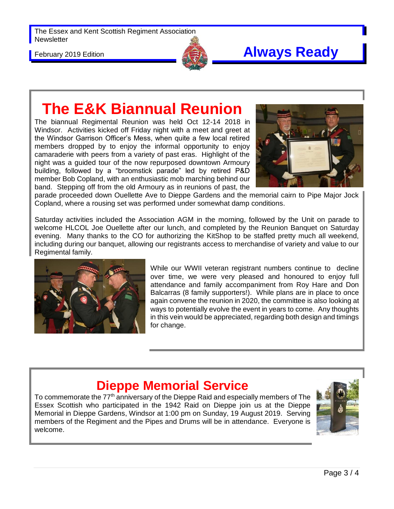

### February 2019 Edition **Always Ready**

# **The E&K Biannual Reunion**

The biannual Regimental Reunion was held Oct 12-14 2018 in Windsor. Activities kicked off Friday night with a meet and greet at the Windsor Garrison Officer's Mess, when quite a few local retired members dropped by to enjoy the informal opportunity to enjoy camaraderie with peers from a variety of past eras. Highlight of the night was a guided tour of the now repurposed downtown Armoury building, followed by a "broomstick parade" led by retired P&D member Bob Copland, with an enthusiastic mob marching behind our band. Stepping off from the old Armoury as in reunions of past, the



parade proceeded down Ouellette Ave to Dieppe Gardens and the memorial cairn to Pipe Major Jock Copland, where a rousing set was performed under somewhat damp conditions.

Saturday activities included the Association AGM in the morning, followed by the Unit on parade to welcome HLCOL Joe Ouellette after our lunch, and completed by the Reunion Banquet on Saturday evening. Many thanks to the CO for authorizing the KitShop to be staffed pretty much all weekend, including during our banquet, allowing our registrants access to merchandise of variety and value to our Regimental family.



While our WWII veteran registrant numbers continue to decline over time, we were very pleased and honoured to enjoy full attendance and family accompaniment from Roy Hare and Don Balcarras (8 family supporters!). While plans are in place to once again convene the reunion in 2020, the committee is also looking at ways to potentially evolve the event in years to come. Any thoughts in this vein would be appreciated, regarding both design and timings for change.

#### **Dieppe Memorial Service**

To commemorate the 77<sup>th</sup> anniversary of the Dieppe Raid and especially members of The Essex Scottish who participated in the 1942 Raid on Dieppe join us at the Dieppe Memorial in Dieppe Gardens, Windsor at 1:00 pm on Sunday, 19 August 2019. Serving members of the Regiment and the Pipes and Drums will be in attendance. Everyone is welcome.